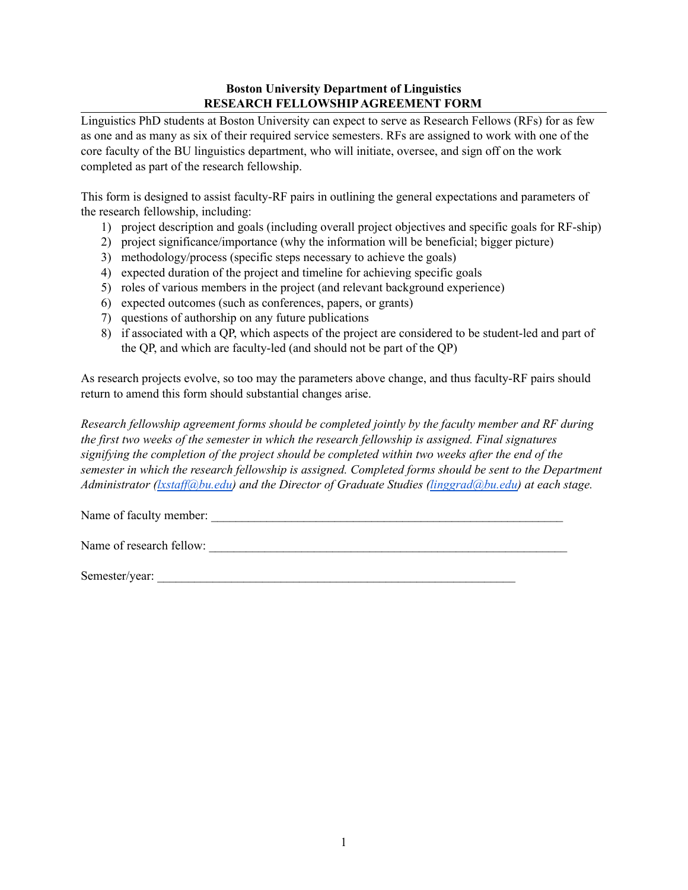## **Boston University Department of Linguistics RESEARCH FELLOWSHIPAGREEMENT FORM**

Linguistics PhD students at Boston University can expect to serve as Research Fellows (RFs) for as few as one and as many as six of their required service semesters. RFs are assigned to work with one of the core faculty of the BU linguistics department, who will initiate, oversee, and sign off on the work completed as part of the research fellowship.

This form is designed to assist faculty-RF pairs in outlining the general expectations and parameters of the research fellowship, including:

- 1) project description and goals (including overall project objectives and specific goals for RF-ship)
- 2) project significance/importance (why the information will be beneficial; bigger picture)
- 3) methodology/process (specific steps necessary to achieve the goals)
- 4) expected duration of the project and timeline for achieving specific goals
- 5) roles of various members in the project (and relevant background experience)
- 6) expected outcomes (such as conferences, papers, or grants)
- 7) questions of authorship on any future publications
- 8) if associated with a QP, which aspects of the project are considered to be student-led and part of the QP, and which are faculty-led (and should not be part of the QP)

As research projects evolve, so too may the parameters above change, and thus faculty-RF pairs should return to amend this form should substantial changes arise.

*Research fellowship agreement forms should be completed jointly by the faculty member and RF during the first two weeks of the semester in which the research fellowship is assigned. Final signatures signifying the completion of the project should be completed within two weeks after the end of the semester in which the research fellowship is assigned. Completed forms should be sent to the Department Administrator (lxstaf [@bu.edu\)](mailto:lxstaff@bu.edu) and the Director of Graduate Studies [\(linggrad@bu.edu\)](mailto:linggrad@bu.edu) at each stage.*

Name of faculty member: \_\_\_\_\_\_\_\_\_\_\_\_\_\_\_\_\_\_\_\_\_\_\_\_\_\_\_\_\_\_\_\_\_\_\_\_\_\_\_\_\_\_\_\_\_\_\_\_\_\_\_\_\_\_\_\_\_

Name of research fellow:

Semester/year: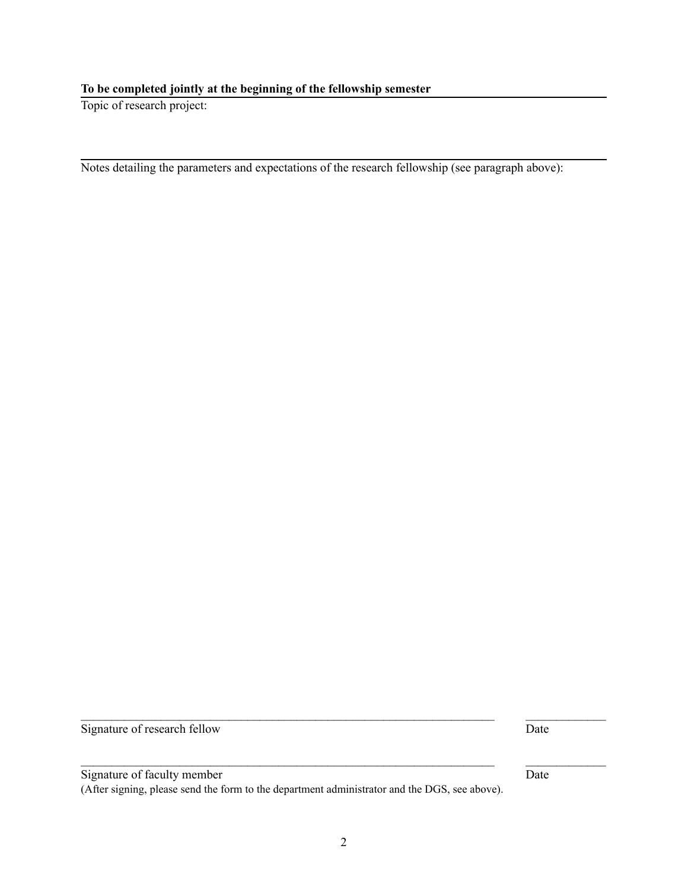$\mathcal{L}_\mathcal{L} = \{ \mathcal{L}_\mathcal{L} = \{ \mathcal{L}_\mathcal{L} = \{ \mathcal{L}_\mathcal{L} = \{ \mathcal{L}_\mathcal{L} = \{ \mathcal{L}_\mathcal{L} = \{ \mathcal{L}_\mathcal{L} = \{ \mathcal{L}_\mathcal{L} = \{ \mathcal{L}_\mathcal{L} = \{ \mathcal{L}_\mathcal{L} = \{ \mathcal{L}_\mathcal{L} = \{ \mathcal{L}_\mathcal{L} = \{ \mathcal{L}_\mathcal{L} = \{ \mathcal{L}_\mathcal{L} = \{ \mathcal{L}_\mathcal{$ 

 $\mathcal{L}_\mathcal{L} = \{ \mathcal{L}_\mathcal{L} = \{ \mathcal{L}_\mathcal{L} = \{ \mathcal{L}_\mathcal{L} = \{ \mathcal{L}_\mathcal{L} = \{ \mathcal{L}_\mathcal{L} = \{ \mathcal{L}_\mathcal{L} = \{ \mathcal{L}_\mathcal{L} = \{ \mathcal{L}_\mathcal{L} = \{ \mathcal{L}_\mathcal{L} = \{ \mathcal{L}_\mathcal{L} = \{ \mathcal{L}_\mathcal{L} = \{ \mathcal{L}_\mathcal{L} = \{ \mathcal{L}_\mathcal{L} = \{ \mathcal{L}_\mathcal{$ 

**To be completed jointly at the beginning of the fellowship semester**

Topic of research project:

Notes detailing the parameters and expectations of the research fellowship (see paragraph above):

Signature of research fellow Date

Signature of faculty member Date (After signing, please send the form to the department administrator and the DGS, see above).